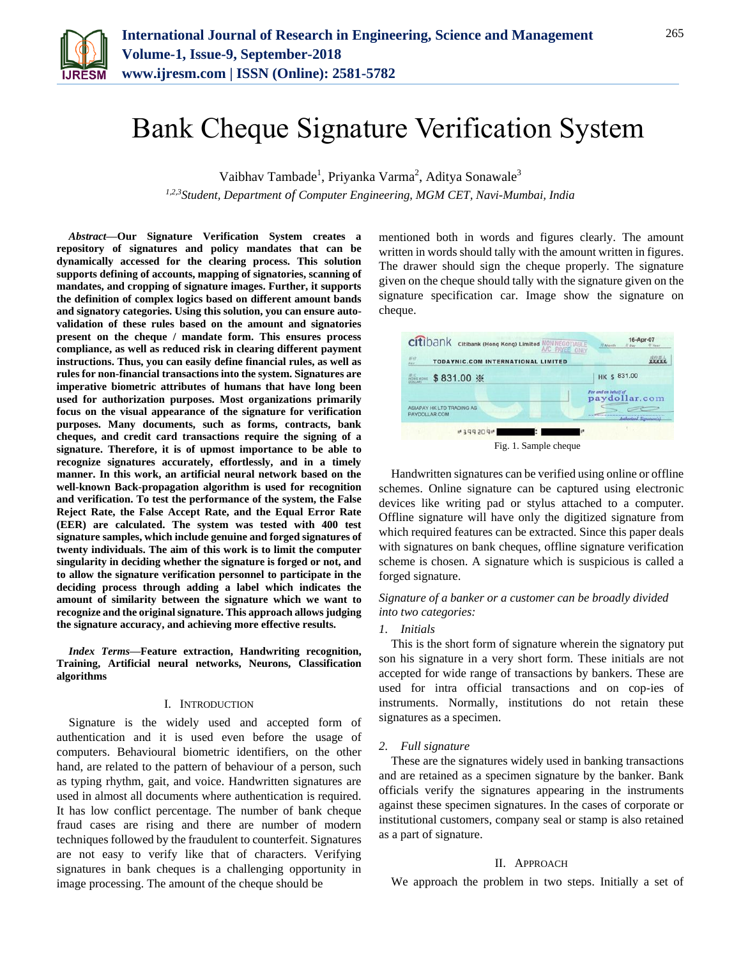

# Bank Cheque Signature Verification System

Vaibhav Tambade<sup>1</sup>, Priyanka Varma<sup>2</sup>, Aditya Sonawale<sup>3</sup> *1,2,3Student, Department of Computer Engineering, MGM CET, Navi-Mumbai, India*

*Abstract***—Our Signature Verification System creates a repository of signatures and policy mandates that can be dynamically accessed for the clearing process. This solution supports defining of accounts, mapping of signatories, scanning of mandates, and cropping of signature images. Further, it supports the definition of complex logics based on different amount bands and signatory categories. Using this solution, you can ensure autovalidation of these rules based on the amount and signatories present on the cheque / mandate form. This ensures process compliance, as well as reduced risk in clearing different payment instructions. Thus, you can easily define financial rules, as well as rules for non-financial transactions into the system. Signatures are imperative biometric attributes of humans that have long been used for authorization purposes. Most organizations primarily focus on the visual appearance of the signature for verification purposes. Many documents, such as forms, contracts, bank cheques, and credit card transactions require the signing of a signature. Therefore, it is of upmost importance to be able to recognize signatures accurately, effortlessly, and in a timely manner. In this work, an artificial neural network based on the well-known Back-propagation algorithm is used for recognition and verification. To test the performance of the system, the False Reject Rate, the False Accept Rate, and the Equal Error Rate (EER) are calculated. The system was tested with 400 test signature samples, which include genuine and forged signatures of twenty individuals. The aim of this work is to limit the computer singularity in deciding whether the signature is forged or not, and to allow the signature verification personnel to participate in the deciding process through adding a label which indicates the amount of similarity between the signature which we want to recognize and the original signature. This approach allows judging the signature accuracy, and achieving more effective results.**

*Index Terms***—Feature extraction, Handwriting recognition, Training, Artificial neural networks, Neurons, Classification algorithms**

#### I. INTRODUCTION

Signature is the widely used and accepted form of authentication and it is used even before the usage of computers. Behavioural biometric identifiers, on the other hand, are related to the pattern of behaviour of a person, such as typing rhythm, gait, and voice. Handwritten signatures are used in almost all documents where authentication is required. It has low conflict percentage. The number of bank cheque fraud cases are rising and there are number of modern techniques followed by the fraudulent to counterfeit. Signatures are not easy to verify like that of characters. Verifying signatures in bank cheques is a challenging opportunity in image processing. The amount of the cheque should be

mentioned both in words and figures clearly. The amount written in words should tally with the amount written in figures. The drawer should sign the cheque properly. The signature given on the cheque should tally with the signature given on the signature specification car. Image show the signature on cheque.

| citibank<br>Citibank (Hong Kong) Limited NON NEGOTIABLE | 16-Apr-07<br>// Month<br>U Day<br>F Year |
|---------------------------------------------------------|------------------------------------------|
| $m +$<br>TODAYNIC.COM INTERNATIONAL LIMITED             |                                          |
| $$831.00$ *                                             | HK \$ 831.00                             |
|                                                         | For and on behalf of<br>paydollar.com    |
| ASIAPAY HK LTD TRADING AS<br>PAYDOLLAR COM              | Authorized Symptomecal                   |
| "399309"<br>2.                                          |                                          |
| $\mathbf{E}$ ie 1. Romple ebecue                        |                                          |

Fig. 1. Sample cheque

Handwritten signatures can be verified using online or offline schemes. Online signature can be captured using electronic devices like writing pad or stylus attached to a computer. Offline signature will have only the digitized signature from which required features can be extracted. Since this paper deals with signatures on bank cheques, offline signature verification scheme is chosen. A signature which is suspicious is called a forged signature.

## *Signature of a banker or a customer can be broadly divided into two categories:*

#### *1. Initials*

This is the short form of signature wherein the signatory put son his signature in a very short form. These initials are not accepted for wide range of transactions by bankers. These are used for intra official transactions and on cop-ies of instruments. Normally, institutions do not retain these signatures as a specimen.

#### *2. Full signature*

These are the signatures widely used in banking transactions and are retained as a specimen signature by the banker. Bank officials verify the signatures appearing in the instruments against these specimen signatures. In the cases of corporate or institutional customers, company seal or stamp is also retained as a part of signature.

#### II. APPROACH

We approach the problem in two steps. Initially a set of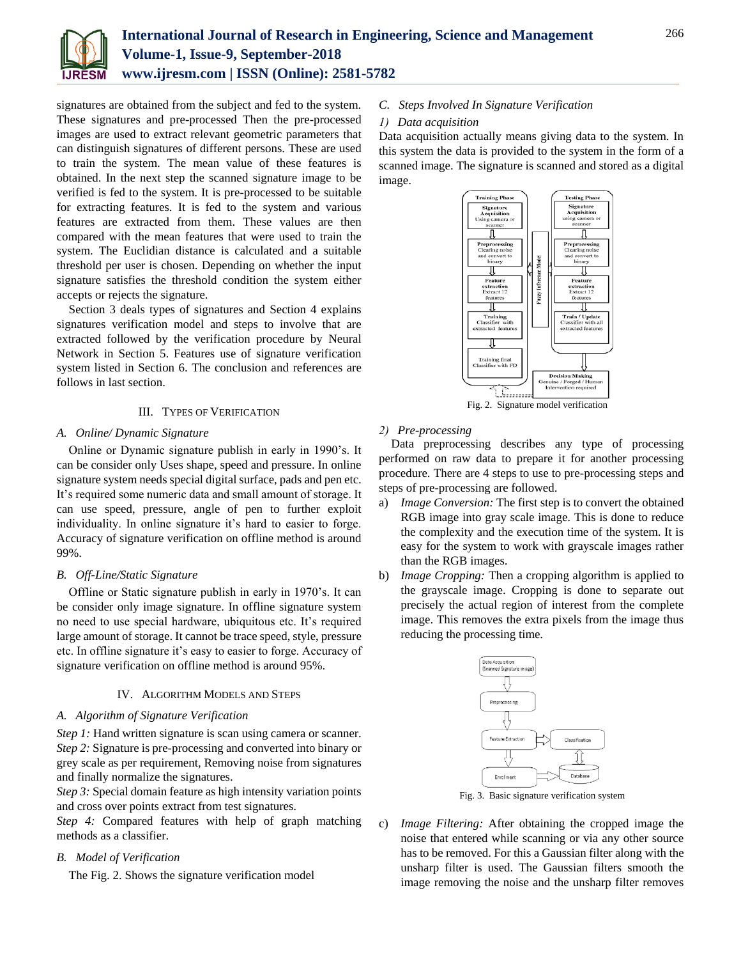

signatures are obtained from the subject and fed to the system. These signatures and pre-processed Then the pre-processed images are used to extract relevant geometric parameters that can distinguish signatures of different persons. These are used to train the system. The mean value of these features is obtained. In the next step the scanned signature image to be verified is fed to the system. It is pre-processed to be suitable for extracting features. It is fed to the system and various features are extracted from them. These values are then compared with the mean features that were used to train the system. The Euclidian distance is calculated and a suitable threshold per user is chosen. Depending on whether the input signature satisfies the threshold condition the system either accepts or rejects the signature.

Section 3 deals types of signatures and Section 4 explains signatures verification model and steps to involve that are extracted followed by the verification procedure by Neural Network in Section 5. Features use of signature verification system listed in Section 6. The conclusion and references are follows in last section.

## III. TYPES OF VERIFICATION

#### *A. Online/ Dynamic Signature*

Online or Dynamic signature publish in early in 1990's. It can be consider only Uses shape, speed and pressure. In online signature system needs special digital surface, pads and pen etc. It's required some numeric data and small amount of storage. It can use speed, pressure, angle of pen to further exploit individuality. In online signature it's hard to easier to forge. Accuracy of signature verification on offline method is around 99%.

#### *B. Off-Line/Static Signature*

Offline or Static signature publish in early in 1970's. It can be consider only image signature. In offline signature system no need to use special hardware, ubiquitous etc. It's required large amount of storage. It cannot be trace speed, style, pressure etc. In offline signature it's easy to easier to forge. Accuracy of signature verification on offline method is around 95%.

## IV. ALGORITHM MODELS AND STEPS

#### *A. Algorithm of Signature Verification*

*Step 1:* Hand written signature is scan using camera or scanner. *Step 2:* Signature is pre-processing and converted into binary or grey scale as per requirement, Removing noise from signatures and finally normalize the signatures.

*Step 3:* Special domain feature as high intensity variation points and cross over points extract from test signatures.

*Step 4:* Compared features with help of graph matching methods as a classifier.

## *B. Model of Verification*

The Fig. 2. Shows the signature verification model

*C. Steps Involved In Signature Verification*

## *1) Data acquisition*

Data acquisition actually means giving data to the system. In this system the data is provided to the system in the form of a scanned image. The signature is scanned and stored as a digital image.



Fig. 2. Signature model verification

#### *2) Pre-processing*

Data preprocessing describes any type of processing performed on raw data to prepare it for another processing procedure. There are 4 steps to use to pre-processing steps and steps of pre-processing are followed.

- a) *Image Conversion:* The first step is to convert the obtained RGB image into gray scale image. This is done to reduce the complexity and the execution time of the system. It is easy for the system to work with grayscale images rather than the RGB images.
- b) *Image Cropping:* Then a cropping algorithm is applied to the grayscale image. Cropping is done to separate out precisely the actual region of interest from the complete image. This removes the extra pixels from the image thus reducing the processing time.



Fig. 3. Basic signature verification system

c) *Image Filtering:* After obtaining the cropped image the noise that entered while scanning or via any other source has to be removed. For this a Gaussian filter along with the unsharp filter is used. The Gaussian filters smooth the image removing the noise and the unsharp filter removes